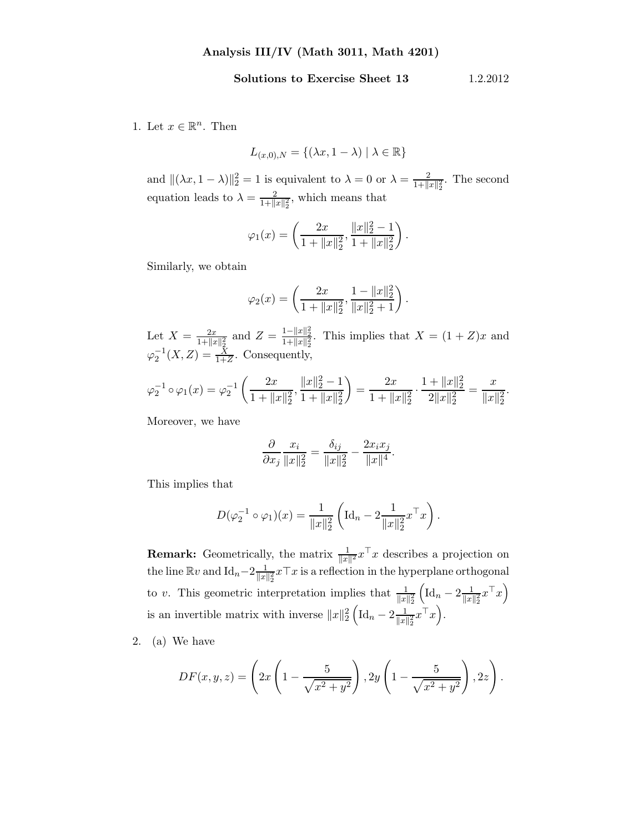## Solutions to Exercise Sheet 13 1.2.2012

1. Let  $x \in \mathbb{R}^n$ . Then

$$
L_{(x,0),N} = \{ (\lambda x, 1 - \lambda) \mid \lambda \in \mathbb{R} \}
$$

and  $\|(\lambda x, 1 - \lambda)\|_2^2 = 1$  is equivalent to  $\lambda = 0$  or  $\lambda = \frac{2}{1 + \| \lambda \|_2^2}$  $\frac{2}{1+\|x\|_2^2}$ . The second equation leads to  $\lambda = \frac{2}{1+1}$  $\frac{2}{1+\|x\|_2^2}$ , which means that

$$
\varphi_1(x) = \left(\frac{2x}{1 + \|x\|_2^2}, \frac{\|x\|_2^2 - 1}{1 + \|x\|_2^2}\right).
$$

Similarly, we obtain

$$
\varphi_2(x) = \left(\frac{2x}{1 + \|x\|_2^2}, \frac{1 - \|x\|_2^2}{\|x\|_2^2 + 1}\right).
$$

Let  $X = \frac{2x}{1 + 1/x}$  $\frac{2x}{1+\|x\|_2^2}$  and  $Z = \frac{1-\|x\|_2^2}{1+\|x\|_2^2}$ . This implies that  $X = (1+Z)x$  and  $\varphi_2^{-1}(X, Z) = \frac{X}{1+Z}$ . Consequently,

$$
\varphi_2^{-1} \circ \varphi_1(x) = \varphi_2^{-1} \left( \frac{2x}{1 + \|x\|_2^2}, \frac{\|x\|_2^2 - 1}{1 + \|x\|_2^2} \right) = \frac{2x}{1 + \|x\|_2^2} \cdot \frac{1 + \|x\|_2^2}{2\|x\|_2^2} = \frac{x}{\|x\|_2^2}.
$$

Moreover, we have

$$
\frac{\partial}{\partial x_j} \frac{x_i}{\|x\|_2^2} = \frac{\delta_{ij}}{\|x\|_2^2} - \frac{2x_i x_j}{\|x\|^4}.
$$

This implies that

$$
D(\varphi_2^{-1} \circ \varphi_1)(x) = \frac{1}{\|x\|_2^2} \left( \mathrm{Id}_n - 2 \frac{1}{\|x\|_2^2} x^\top x \right).
$$

**Remark:** Geometrically, the matrix  $\frac{1}{\|x\|^2} x^\top x$  describes a projection on the line  $\mathbb{R}v$  and  $\mathrm{Id}_n-2\frac{1}{\|x\|}$  $\frac{1}{\|x\|_2^2}x\top x$  is a reflection in the hyperplane orthogonal to v. This geometric interpretation implies that  $\frac{1}{\|x\|_2^2}$  $\left(\mathrm{Id}_n - 2\frac{1}{\|x\|}\right)$  $\frac{1}{\|x\|_2^2}x^{\top}x\Big)$ is an invertible matrix with inverse  $||x||_2^2 \left( \mathrm{Id}_n - 2 \frac{1}{||x||} \right)$  $\frac{1}{\|x\|_2^2}x^{\top}x\Big).$ 

2. (a) We have

$$
DF(x, y, z) = \left(2x\left(1 - \frac{5}{\sqrt{x^2 + y^2}}\right), 2y\left(1 - \frac{5}{\sqrt{x^2 + y^2}}\right), 2z\right).
$$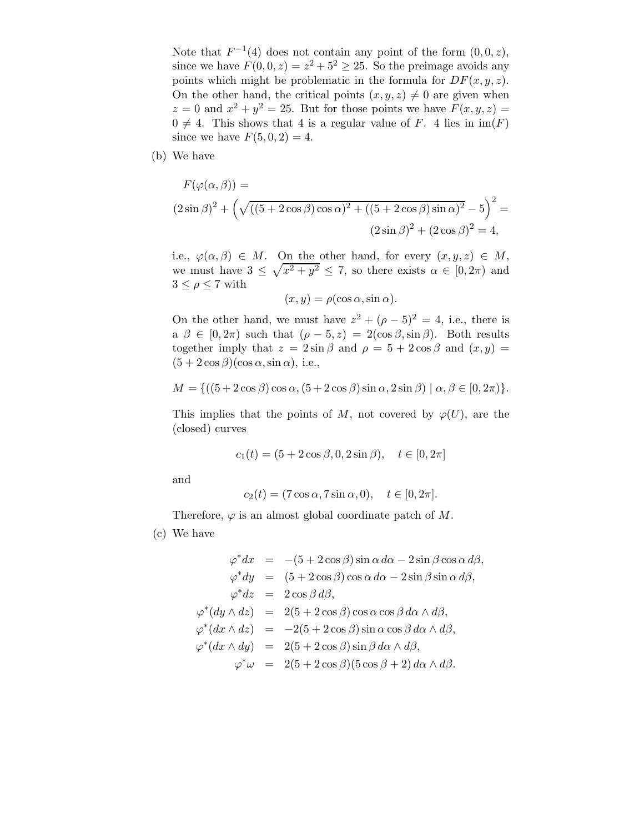Note that  $F^{-1}(4)$  does not contain any point of the form  $(0,0,z)$ , since we have  $F(0, 0, z) = z^2 + 5^2 \ge 25$ . So the preimage avoids any points which might be problematic in the formula for  $DF(x, y, z)$ . On the other hand, the critical points  $(x, y, z) \neq 0$  are given when  $z = 0$  and  $x^2 + y^2 = 25$ . But for those points we have  $F(x, y, z) =$  $0 \neq 4$ . This shows that 4 is a regular value of F. 4 lies in  $\text{im}(F)$ since we have  $F(5, 0, 2) = 4$ .

(b) We have

$$
F(\varphi(\alpha, \beta)) =
$$
  

$$
(2 \sin \beta)^2 + \left(\sqrt{((5 + 2 \cos \beta) \cos \alpha)^2 + ((5 + 2 \cos \beta) \sin \alpha)^2} - 5\right)^2 =
$$
  

$$
(2 \sin \beta)^2 + (2 \cos \beta)^2 = 4,
$$

i.e.,  $\varphi(\alpha, \beta) \in M$ . On the other hand, for every  $(x, y, z) \in M$ , we must have  $3 \leq \sqrt{x^2 + y^2} \leq 7$ , so there exists  $\alpha \in [0, 2\pi)$  and  $3 \leq \rho \leq 7$  with

$$
(x, y) = \rho(\cos \alpha, \sin \alpha).
$$

On the other hand, we must have  $z^2 + (\rho - 5)^2 = 4$ , i.e., there is a  $\beta \in [0, 2\pi)$  such that  $(\rho - 5, z) = 2(\cos \beta, \sin \beta)$ . Both results together imply that  $z = 2 \sin \beta$  and  $\rho = 5 + 2 \cos \beta$  and  $(x, y) =$  $(5 + 2 \cos \beta)(\cos \alpha, \sin \alpha)$ , i.e.,

$$
M = \{ ((5 + 2\cos\beta)\cos\alpha, (5 + 2\cos\beta)\sin\alpha, 2\sin\beta) \mid \alpha, \beta \in [0, 2\pi) \}.
$$

This implies that the points of M, not covered by  $\varphi(U)$ , are the (closed) curves

$$
c_1(t) = (5 + 2\cos\beta, 0, 2\sin\beta), \quad t \in [0, 2\pi]
$$

and

$$
c_2(t) = (7 \cos \alpha, 7 \sin \alpha, 0), \quad t \in [0, 2\pi].
$$

Therefore,  $\varphi$  is an almost global coordinate patch of M.

(c) We have

$$
\varphi^* dx = -(5 + 2 \cos \beta) \sin \alpha \, d\alpha - 2 \sin \beta \cos \alpha \, d\beta,
$$
  

$$
\varphi^* dy = (5 + 2 \cos \beta) \cos \alpha \, d\alpha - 2 \sin \beta \sin \alpha \, d\beta,
$$
  

$$
\varphi^* dz = 2 \cos \beta \, d\beta,
$$
  

$$
\varphi^* (dy \wedge dz) = 2(5 + 2 \cos \beta) \cos \alpha \cos \beta \, d\alpha \wedge d\beta,
$$
  

$$
\varphi^* (dx \wedge dz) = -2(5 + 2 \cos \beta) \sin \alpha \cos \beta \, d\alpha \wedge d\beta,
$$
  

$$
\varphi^* (dx \wedge dy) = 2(5 + 2 \cos \beta) \sin \beta \, d\alpha \wedge d\beta,
$$
  

$$
\varphi^* \omega = 2(5 + 2 \cos \beta)(5 \cos \beta + 2) \, d\alpha \wedge d\beta.
$$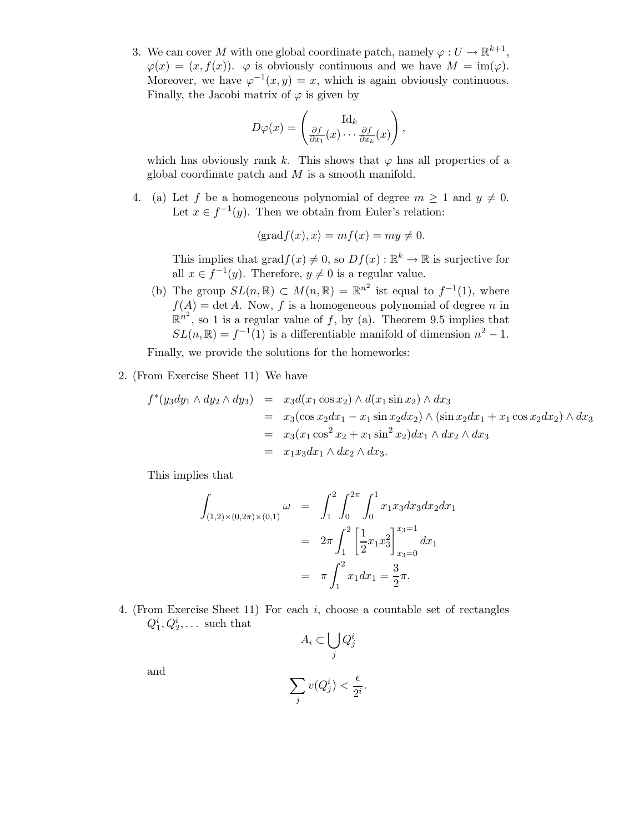3. We can cover M with one global coordinate patch, namely  $\varphi: U \to \mathbb{R}^{k+1}$ ,  $\varphi(x) = (x, f(x))$ .  $\varphi$  is obviously continuous and we have  $M = \text{im}(\varphi)$ . Moreover, we have  $\varphi^{-1}(x, y) = x$ , which is again obviously continuous. Finally, the Jacobi matrix of  $\varphi$  is given by

$$
D\varphi(x) = \begin{pmatrix} \mathrm{Id}_k \\ \frac{\partial f}{\partial x_1}(x) \cdots \frac{\partial f}{\partial x_k}(x) \end{pmatrix},
$$

which has obviously rank k. This shows that  $\varphi$  has all properties of a global coordinate patch and  $M$  is a smooth manifold.

4. (a) Let f be a homogeneous polynomial of degree  $m \geq 1$  and  $y \neq 0$ . Let  $x \in f^{-1}(y)$ . Then we obtain from Euler's relation:

$$
\langle \text{grad} f(x), x \rangle = mf(x) = my \neq 0.
$$

This implies that  $\text{grad} f(x) \neq 0$ , so  $Df(x) : \mathbb{R}^k \to \mathbb{R}$  is surjective for all  $x \in f^{-1}(y)$ . Therefore,  $y \neq 0$  is a regular value.

(b) The group  $SL(n,\mathbb{R}) \subset M(n,\mathbb{R}) = \mathbb{R}^{n^2}$  ist equal to  $f^{-1}(1)$ , where  $f(A) = \det A$ . Now, f is a homogeneous polynomial of degree n in  $\mathbb{R}^{n^2}$ , so 1 is a regular value of f, by (a). Theorem 9.5 implies that  $SL(n,\mathbb{R}) = f^{-1}(1)$  is a differentiable manifold of dimension  $n^2 - 1$ .

Finally, we provide the solutions for the homeworks:

2. (From Exercise Sheet 11) We have

$$
f^*(y_3dy_1 \wedge dy_2 \wedge dy_3) = x_3d(x_1 \cos x_2) \wedge d(x_1 \sin x_2) \wedge dx_3
$$
  
=  $x_3(\cos x_2dx_1 - x_1 \sin x_2dx_2) \wedge (\sin x_2dx_1 + x_1 \cos x_2dx_2) \wedge dx_3$   
=  $x_3(x_1 \cos^2 x_2 + x_1 \sin^2 x_2) dx_1 \wedge dx_2 \wedge dx_3$   
=  $x_1x_3dx_1 \wedge dx_2 \wedge dx_3$ .

This implies that

$$
\int_{(1,2)\times(0,2\pi)\times(0,1)} \omega = \int_1^2 \int_0^{2\pi} \int_0^1 x_1 x_3 dx_3 dx_2 dx_1
$$

$$
= 2\pi \int_1^2 \left[ \frac{1}{2} x_1 x_3^2 \right]_{x_3=0}^{x_3=1} dx_1
$$

$$
= \pi \int_1^2 x_1 dx_1 = \frac{3}{2}\pi.
$$

4. (From Exercise Sheet 11) For each i, choose a countable set of rectangles  $Q_1^i, Q_2^i, \ldots$  such that

$$
A_i \subset \bigcup_j Q_j^i
$$

and

$$
\sum_j v(Q_j^i) < \frac{\epsilon}{2^i}.
$$